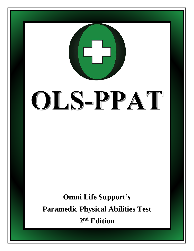# OLS-PPAT

**Omni Life Support's Paramedic Physical Abilities Test 2 nd Edition**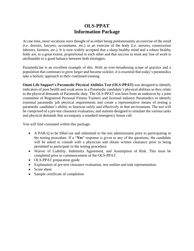### **OLS-PPAT Information Package**

At one time, most vocations were thought of as either being predominantly an exercise of the mind (i.e. doctors, lawyers, accountants, etc.) or an exercise of the body (i.e. movers, construction laborers, farmers, etc.). It is now widely accepted that a sharp healthy mind and a robust healthy body are, to a great extent, proportional to each other and that success in most any line of work is attributable to a good balance between both etiologies.

Paramedicine is an excellent example of this. With an ever-broadening scope of practice and a population that continues to grow larger and become sicklier, it is essential that today's paramedics take a holistic approach to their continued training.

**Omni Life Support's Paramedic Physical Abilities Test (OLS-PPAT)** was designed to identify indicators of poor health and weak areas in a Paramedic candidate's physical abilities as they relate to the physical demands of Paramedic duty. The OLS-PPAT was born from an endeavor by a joint committee of Registered Personal Fitness Trainers and licensed industry Paramedics to identify essential paramedic job physical requirements and create a representative means of testing a paramedic candidate's ability to function safely and effectively in that environment. The test will be comprised of a pre-test clearance evaluation, and stations designed to simulate the various tasks and physical demands that accompany a standard emergency house call.

You will find contained within this package:

- A PAR-Q to be filled out and submitted to the test administrator prior to participating in the testing procedure. If a "**Yes**" response is given to any of the questions, the candidate will be asked to consult with a physician and obtain written clearance prior to being permitted to participate in the testing procedure.
- Waiver of Liability, Indemnity Agreement, and Assumption of Risk. This must be completed prior to commencement of the OLS-PPAT.
- OLS-PPAT preparation guide
- Explanation of pre-test clearance evaluation, test outline and task representation.
- Score sheet
- Sample certificate of completion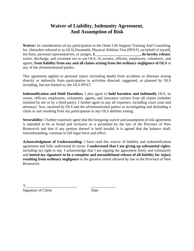### **Waiver of Liability, Indemnity Agreement, And Assumption of Risk**

**Waiver:** In consideration of my participation in the Omni Life Support Training And Consulting Inc. (hereafter referred to as OLS) Paramedic Physical Abilities Test (PPAT), on behalf of myself, my heirs, personal representatives, or assigns, **I, \_\_\_\_\_\_\_\_\_\_\_\_\_\_\_\_\_\_\_\_\_\_\_, do hereby release**, waive, discharge, and covenant not to sue OLS, its owners, officers, employees, volunteers, and agents, **from liability from any and all claims arising from the ordinary negligence of OLS** or any of the aforementioned parties.

This agreement applies to personal injury (including death) from accidents or illnesses arising directly or indirectly from participation in activities directed, suggested, or planned by OLS including, but not limited to, the OLS-PPAT.

**Indemnification and Hold Harmless:** I also agree to **hold harmless and indemnify** OLS, its owner, officers, employees, volunteers, agents, and insurance carriers from all claims (whether initiated by me or by a third party). I further agree to pay all expenses, including court costs and attorneys' fees, incurred by OLS and the aforementioned parties in investigating and defending a claim or suit resulting from my participation in any OLS abilities testing.

**Severability:** I further expressly agree that the foregoing waiver and assumption of risk agreement is intended to be as broad and inclusive as is permitted by the law of the Province of New Brunswick and that if any portion thereof is held invalid, it is agreed that the balance shall, notwithstanding, continue in full legal force and effect.

**Acknowledgment of Understanding:** I have read this waiver of liability and indemnification agreement and fully understand its terms. **I understand that I am giving up substantial rights**, including my right to sue. I acknowledge that I am signing the agreement freely and voluntarily and **intend my signature to be a complete and unconditional release of all liability for injury resulting from ordinary negligence** to the greatest extent allowed by law in the Province of New Brunswick.

X\_\_\_\_\_\_\_\_\_\_\_\_\_\_\_\_\_\_\_\_\_\_\_\_\_ \_\_\_\_\_\_\_\_\_\_\_\_ Signature of Client Date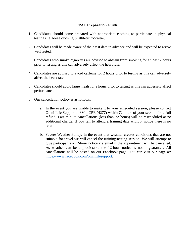### **PPAT Preparation Guide**

- 1. Candidates should come prepared with appropriate clothing to participate in physical testing (i.e. loose clothing & athletic footwear).
- 2. Candidates will be made aware of their test date in advance and will be expected to arrive well rested.
- 3. Candidates who smoke cigarettes are advised to abstain from smoking for at least 2 hours prior to testing as this can adversely affect the heart rate.
- 4. Candidates are advised to avoid caffeine for 2 hours prior to testing as this can adversely affect the heart rate.
- 5. Candidates should avoid large meals for 2 hours prior to testing as this can adversely affect performance.
- 6. Our cancellation policy is as follows:
	- a. In the event you are unable to make it to your scheduled session, please contact Omni Life Support at 830-4CPR (4277) within 72 hours of your session for a full refund. Last minute cancellations (less than 72 hours) will be rescheduled at no additional charge. If you fail to attend a training date without notice there is no refund.
	- b. Severe Weather Policy: In the event that weather creates conditions that are not suitable for travel we will cancel the training/testing session. We will attempt to give participants a 12-hour notice via email if the appointment will be cancelled. As weather can be unpredictable the 12-hour notice is not a guarantee. All cancellations will be posted on our Facebook page. You can visit our page at: [https://www.facebook.com/omnilifesupport.](https://www.facebook.com/omnilifesupport)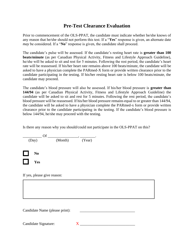### **Pre-Test Clearance Evaluation**

Prior to commencement of the OLS-PPAT, the candidate must indicate whether he/she knows of any reason that he/she should not perform this test. If a "**Yes**" response is given, an alternate date *may* be considered. If a "**No**" response is given, the candidate shall proceed.

The candidate's pulse will be assessed. If the candidate's resting heart rate is **greater than 100 beats/minute** (as per Canadian Physical Activity, Fitness and Lifestyle Approach Guideline), he/she will be asked to sit and rest for 5 minutes. Following the rest period, the candidate's heart rate will be reassessed. If his/her heart rate remains above 100 beats/minute, the candidate will be asked to have a physician complete the PARmed-X form or provide written clearance prior to the candidate participating in the testing. If his/her resting heart rate is below 100 beats/minute, the candidate may proceed.

The candidate's blood pressure will also be assessed. If his/her blood pressure is **greater than 144/94** (as per Canadian Physical Activity, Fitness and Lifestyle Approach Guideline) the candidate will be asked to sit and rest for 5 minutes. Following the rest period, the candidate's blood pressure will be reassessed. If his/her blood pressure remains equal to or greater than 144/94, the candidate will be asked to have a physician complete the PARmed-x form or provide written clearance prior to the candidate participating in the testing. If the candidate's blood pressure is below 144/94, he/she may proceed with the testing.

Is there any reason why you should/could not participate in the OLS-PPAT on this?

|        | Of                    |         |        |
|--------|-----------------------|---------|--------|
|        | (Day)                 | (Month) | (Year) |
| $\Box$ | N <sub>0</sub><br>Yes |         |        |

If yes, please give reason:

Candidate Name (please print):

Candidate Signature:  $X$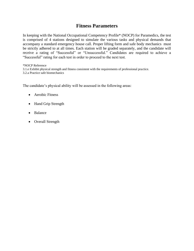### **Fitness Parameters**

In keeping with the National Occupational Competency Profile\* (NOCP) for Paramedics, the test is comprised of 4 stations designed to simulate the various tasks and physical demands that accompany a standard emergency house call. Proper lifting form and safe body mechanics must be strictly adhered to at all times. Each station will be graded separately, and the candidate will receive a rating of "Successful" or "Unsuccessful." Candidates are required to achieve a "Successful" rating for each test in order to proceed to the next test.

\*NOCP Reference 3.1.e Exhibit physical strength and fitness consistent with the requirements of professional practice. 3.2.a Practice safe biomechanics

The candidate's physical ability will be assessed in the following areas:

- Aerobic Fitness
- Hand Grip Strength
- Balance
- Overall Strength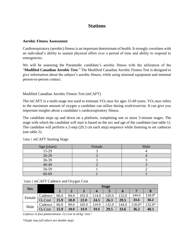### **Stations**

### **Aerobic Fitness Assessment**

Cardiorespiratory (aerobic) fitness is an important determinant of health. It strongly correlates with an individual's ability to sustain physical effort over a period of time and ability to respond to emergencies.

We will be assessing the Paramedic candidate's aerobic fitness with the utilization of the "**Modified Canadian Aerobic Test**." The Modified Canadian Aerobic Fitness Test is designed to give information about the subject's aerobic fitness, while using minimal equipment and minimal person-to-person contact.

### Modified Canadian Aerobic Fitness Test (mCAFT)

The mCAFT is a multi-stage test used to estimate  $VO<sub>2</sub>$  max for ages 15-69 years.  $VO<sub>2</sub>$  max refers to the maximum amount of oxygen a candidate can utilize during work/exercise. It can give you important insights about a candidate's cardiorespiratory fitness.

The candidate steps up and down on a platform, completing one or more 3-minute stages. The stage with which the candidate will start is based on the sex and age of the candidate (see table 1). The candidate will perform a 2-step (20.3 cm each step) sequence while listening to set cadences (see table 2).

| Age (years) | Female | Male |
|-------------|--------|------|
| 15-29       |        |      |
| 20-29       |        |      |
| 30-39       |        |      |
| 40-49       |        |      |
| 50-59       |        |      |
| $60 - 69$   |        |      |

Table 1 mCAFT Starting Stage

| Table 2 mCAFT Cadence and Oxygen Cost |  |  |
|---------------------------------------|--|--|
|---------------------------------------|--|--|

| <b>Sex</b> |                     |      | <b>Stage</b> |       |       |       |       |       |          |  |  |
|------------|---------------------|------|--------------|-------|-------|-------|-------|-------|----------|--|--|
|            |                     |      |              |       | 4     | 5     | O     |       | 8        |  |  |
| Female     | Cadence             | 66.0 | 84.0         | 102.0 | 114.0 | 120.0 | 132.0 | 144.0 | 118.0*   |  |  |
|            | O <sub>2</sub> Cost | 15.9 | 18.0         | 22.0  | 24.5  | 26.3  | 29.5  | 33.6  | 36.2     |  |  |
| Male       | Cadence             | 66.0 | 84.0         | 102.0 | 114.0 | 132.0 | 144.0 | 18.0* | $132.0*$ |  |  |
|            | O <sub>2</sub> Cost | 15.9 | 18.0         | 22.0  | 24.5  | 29.5  | 33.6  | 36.2  | 40.1     |  |  |

*Cadence in foot plants/minute.*  $O_2$  *Cost in ml* $kg^{-1}$ *min*<sup>-1</sup>.

\**Single step (all others are double step).*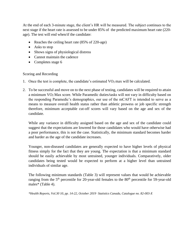At the end of each 3-minute stage, the client's HR will be measured. The subject continues to the next stage if the heart rate is assessed to be under 85% of the predicted maximum heart rate (220 age). The test will end when/if the candidate:

- Reaches the ceiling heart rate (85% of 220-age)
- Asks to stop
- Shows signs of physiological distress
- Cannot maintain the cadence
- Completes stage 6

### Scoring and Recording

- 1. Once the test is complete, the candidate's estimated  $VO<sub>2</sub>$  max will be calculated.
- 2. To be successful and move on to the next phase of testing, candidates will be required to attain a minimum VO2 Max score. While Paramedic duties/tasks will not vary in difficulty based on the responding Paramedic's demographics, our use of the mCAFT is intended to serve as a means to measure overall health status rather than athletic prowess or job specific strength therefore, minimum acceptable cut-off scores will vary based on the age and sex of the candidate.

While any variance in difficulty assigned based on the age and sex of the candidate could suggest that the expectations are lowered for those candidates who would have otherwise had a poor performance, this is not the case. Statistically, the minimum standard becomes harder and harder as the age of the candidate increases.

Younger, non-diseased candidates are generally expected to have higher levels of physical fitness simply for the fact that they are young. The expectation is that a minimum standard should be easily achievable by most untrained, younger individuals. Comparatively, older candidates being tested would be expected to perform at a higher level than untrained individuals of similar age.

The following minimum standards (Table 3) will represent values that would be achievable ranging from the  $5<sup>th</sup>$  percentile for 20-year-old females to the  $80<sup>th</sup>$  percentile for 59-year-old males<sup>\*</sup> (Table 4).

*\*Health Reports, Vol.30 10, pp. 14-22, October 2019 . Statistics Canada, Catalogue no. 82-003-X*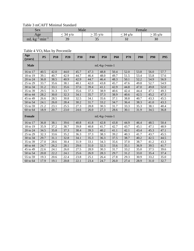### Table 3 mCAFT Minimal Standard

| <b>Sex</b>                                                                          |                                           | Male |                   | Female |
|-------------------------------------------------------------------------------------|-------------------------------------------|------|-------------------|--------|
| Age                                                                                 | $\cdot$ V/O<br>34<br>$\cdot$ V/O<br>$-35$ |      | 35 y/o<br>⊂34 γ/o |        |
| $\cdot$ min <sup>-<math>\cdot</math></sup><br>$\overline{\phantom{0}}$<br>$mL$ $kg$ | 39                                        | ັບ   | n.,<br>ےر         | 30     |

Table 4 VO2 Max by Percentile

| Age<br>(years) | <b>P5</b> | <b>P10</b>    | <b>P20</b> | <b>P30</b> | P40  | <b>P50</b>    | <b>P60</b> | P70  | <b>P80</b> | <b>P90</b> | P95  |
|----------------|-----------|---------------|------------|------------|------|---------------|------------|------|------------|------------|------|
| <b>Male</b>    |           | mL•kg-1•min-1 |            |            |      |               |            |      |            |            |      |
| 16 to 17       | 40.5      | 42.0          | 44.0       | 45.7       | 47.3 | 48.8          | 50.4       | 52.0 | 53.8       | 56.0       | 57.7 |
| 18 to 19       | 39.1      | 40.7          | 42.9       | 44.7       | 46.4 | 48.0          | 49.7       | 51.5 | 53.4       | 55.8       | 57.6 |
| 20 to 24       | 36.8      | 38.5          | 40.9       | 42.9       | 44.7 | 46.4          | 48.3       | 50.1 | 52.2       | 54.9       | 56.9 |
| 25 to 29       | 33.7      | 35.6          | 38.1       | 40.1       | 42.0 | 43.8          | 45.7       | 47.6 | 49.8       | 52.7       | 54.9 |
| 30 to 34       | 31.2      | 33.1          | 35.6       | 37.6       | 39.4 | 41.1          | 42.9       | 44.8 | 47.0       | 49.8       | 52.0 |
| 35 to 39       | 29.5      | 31.3          | 33.7       | 35.6       | 37.3 | 38.9          | 40.6       | 42.4 | 44.4       | 47.1       | 49.3 |
| 40 to 44       | 28.2      | 30.0          | 32.3       | 34.1       | 35.7 | 37.3          | 38.9       | 40.6 | 42.5       | 45.2       | 47.3 |
| 45 to 49       | 26.6      | 28.5          | 30.8       | 32.5       | 34.1 | 35.6          | 37.1       | 38.8 | 40.7       | 43.3       | 45.5 |
| 50 to 54       | 24.1      | 26.0          | 28.4       | 30.2       | 31.7 | 33.2          | 34.7       | 36.4 | 38.3       | 41.0       | 43.3 |
| 55 to 59       | 21.2      | 23.1          | 25.5       | 27.3       | 28.8 | 30.3          | 31.7       | 33.3 | 35.3       | 38.1       | 40.4 |
| 60 to 64       | 18.9      | 20.7          | 23.0       | 24.6       | 26.0 | 27.3          | 28.6       | 30.1 | 31.9       | 34.5       | 36.8 |
| Female         |           |               |            |            |      | mL•kg-1•min-1 |            |      |            |            |      |
| 16 to 17       | 36.8      | 38.1          | 39.6       | 40.8       | 41.8 | 42.8          | 43.8       | 44.9 | 46.4       | 48.5       | 50.4 |
| 18 to 19       | 35.9      | 37.2          | 38.7       | 39.8       | 40.8 | 41.7          | 42.7       | 43.7 | 45.1       | 47.1       | 48.9 |
| 20 to 24       | 34.5      | 35.8          | 37.3       | 38.4       | 39.3 | 40.2          | 41.1       | 42.1 | 43.4       | 45.3       | 47.1 |
| 25 to 29       | 32.3      | 33.6          | 35.2       | 36.3       | 37.3 | 38.3          | 39.2       | 40.3 | 41.7       | 43.7       | 45.5 |
| 30 to 34       | 29.7      | 31.1          | 32.8       | 34.1       | 35.3 | 36.3          | 37.5       | 38.7 | 40.2       | 42.5       | 44.5 |
| 35 to 39       | 27.0      | 28.6          | 30.4       | 31.9       | 33.1 | 34.3          | 35.6       | 37.0 | 38.7       | 41.2       | 43.3 |
| 40 to 44       | 24.7      | 26.2          | 28.1       | 29.6       | 31.0 | 32.3          | 33.6       | 35.1 | 36.9       | 39.5       | 41.7 |
| 45 to 49       | 22.6      | 24.1          | 26.0       | 27.5       | 28.9 | 30.3          | 31.7       | 33.2 | 35.0       | 37.5       | 39.6 |
| 50 to 54       | 20.8      | 22.2          | 24.1       | 25.6       | 26.9 | 28.3          | 29.7       | 31.2 | 33.0       | 35.4       | 37.4 |
| 55 to 59       | 19.3      | 20.6          | 22.4       | 23.8       | 25.1 | 26.4          | 27.8       | 29.3 | 30.9       | 33.2       | 35.0 |
| 60 to 64       | 17.9      | 19.1          | 20.8       | 22.1       | 23.4 | 24.7          | 26.0       | 27.4 | 28.9       | 31.0       | 32.7 |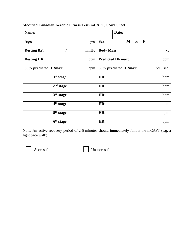### **Modified Canadian Aerobic Fitness Test (mCAFT) Score Sheet**

| Name:                 |      | Date:                                            |             |
|-----------------------|------|--------------------------------------------------|-------------|
| Age:                  | y/o  | Sex:<br>$\mathbf M$<br>$\mathbf{F}$<br><b>or</b> |             |
| <b>Resting BP:</b>    | mmHg | <b>Body Mass:</b>                                | kg          |
| <b>Resting HR:</b>    | bpm  | <b>Predicted HRmax:</b>                          | bpm         |
| 85% predicted HRmax:  | bpm  | 85% predicted HRmax:                             | $b/10$ sec. |
| 1 <sup>st</sup> stage |      | HR:                                              | bpm         |
| 2 <sup>nd</sup> stage |      | HR:                                              | bpm         |
| 3 <sup>rd</sup> stage |      | HR:                                              | bpm         |
| 4 <sup>th</sup> stage |      | HR:                                              | bpm         |
| 5 <sup>th</sup> stage |      | HR:                                              | bpm         |
| 6 <sup>th</sup> stage |      | HR:                                              | bpm         |

Note: An active recovery period of 2-5 minutes should immediately follow the mCAFT (e.g. a light pace walk).

Successful<br>
Unsuccessful<br>
Unsuccessful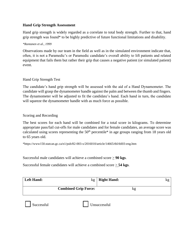### **Hand Grip Strength Assessment**

Hand grip strength is widely regarded as a correlate to total body strength. Further to that, hand grip strength was found\* to be highly predictive of future functional limitations and disability.

### *\*Rantanen et al., 1999*

Observations made by our team in the field as well as in the simulated environment indicate that, often, it is not a Paramedic's or Paramedic candidate's overall ability to lift patients and related equipment that fails them but rather their grip that causes a negative patient (or simulated patient) event.

### Hand Grip Strength Test

The candidate's hand grip strength will be assessed with the aid of a Hand Dynamometer. The candidate will grasp the dynamometer handle against the palm and between the thumb and fingers. The dynamometer will be adjusted to fit the candidate's hand. Each hand in turn, the candidate will squeeze the dynamometer handle with as much force as possible.

### Scoring and Recording

The best scores for each hand will be combined for a total score in kilograms. To determine appropriate pass/fail cut-offs for male candidates and for female candidates, an average score was calculated using scores representing the  $50<sup>th</sup>$  percentile\* in age groups ranging from 18 years old to 65 years old.

\*https://www150.statcan.gc.ca/n1/pub/82-003-x/2016010/article/14665/tbl/tbl03-eng.htm

Successful male candidates will achieve a combined score > **90 kgs**.

Successful female candidates will achieve a combined score  $\geq$  **54 kgs.** 

| <b>Left Hand:</b> | kg                          | <b>Right Hand:</b> | kg |
|-------------------|-----------------------------|--------------------|----|
|                   | <b>Combined Grip Force:</b> | ng                 |    |

Successful Unsuccessful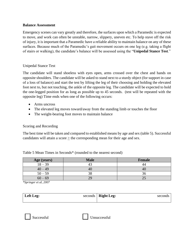### **Balance Assessment**

Emergency scenes can vary greatly and therefore, the surfaces upon which a Paramedic is expected to move, and work can often be unstable, narrow, slippery, uneven etc. To help stave off the risk of injury, it is important that a Paramedic have a reliable ability to maintain balance on any of these surfaces. Because much of the Paramedic's gait movement occurs on one leg (e.g. taking a flight of stairs or walking), the candidate's balance will be assessed using the "**Unipedal Stance Test**."

### Unipedal Stance Test

The candidate will stand shoeless with eyes open, arms crossed over the chest and hands on opposite shoulders. The candidate will be asked to stand next to a sturdy object (for support in case of a loss of balance) and start the test by lifting the leg of their choosing and holding the elevated foot next to, but not touching, the ankle of the opposite leg. The candidate will be expected to hold the one-legged position for as long as possible up to 45 seconds. (test will be repeated with the opposite leg) Time ends when one of the following occurs:

- Arms uncross
- The elevated leg moves toward/away from the standing limb or touches the floor
- The weight-bearing foot moves to maintain balance

### Scoring and Recording

The best time will be taken and compared to established means by age and sex (table 5). Successful candidates will attain a score  $\geq$  the corresponding mean for their age and sex.

| Age (years) | <b>Male</b> | Female |
|-------------|-------------|--------|
| $18 - 39$   |             |        |
| $40 - 49$   | 40          |        |
| $50 - 59$   | 38          |        |
| $60 - 69$   | 7G          |        |

Table 5 Mean Times in Seconds\* (rounded to the nearest second)

*\*Springer et al, 2007*

| Left Leg: | seconds $\vert$ Right Leg: | seconds |
|-----------|----------------------------|---------|
|           |                            |         |



Successful Unsuccessful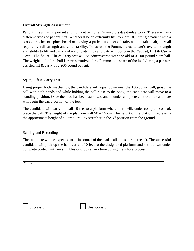### **Overall Strength Assessment**

Patient lifts are an important and frequent part of a Paramedic's day-to-day work. There are many different types of patient lifts. Whether it be an extremity lift (fore aft lift), lifting a patient with a scoop stretcher or spine board or moving a patient up a set of stairs with a stair-chair, they all require overall strength and core stability. To assess the Paramedic candidate's overall strength and ability to lift and carry awkward loads, the candidate will perform the "**Squat, Lift & Carry Test.**" The Squat, Lift & Carry test will be administered with the aid of a 100-pound slam ball. The weight and of the ball is representative of the Paramedic's share of the load during a partnerassisted lift & carry of a 200-pound patient.

### Squat, Lift & Carry Test

Using proper body mechanics, the candidate will squat down near the 100-pound ball, grasp the ball with both hands and while holding the ball close to the body, the candidate will move to a standing position. Once the load has been stabilized and is under complete control, the candidate will begin the carry portion of the test.

The candidate will carry the ball 10 feet to a platform where there will, under complete control, place the ball. The height of the platform will  $50 - 55$  cm. The height of the platform represents the approximate height of a Ferno ProFlex stretcher in the  $3<sup>rd</sup>$  position from the ground.

### Scoring and Recording

The candidate will be expected to be in control of the load at all times during the lift. The successful candidate will pick up the ball, carry it 10 feet to the designated platform and set it down under complete control with no stumbles or drops at any time during the whole process.

| Notes: |  |  |
|--------|--|--|
|        |  |  |
|        |  |  |
|        |  |  |
|        |  |  |
|        |  |  |

Successful Unsuccessful Unsuccessful